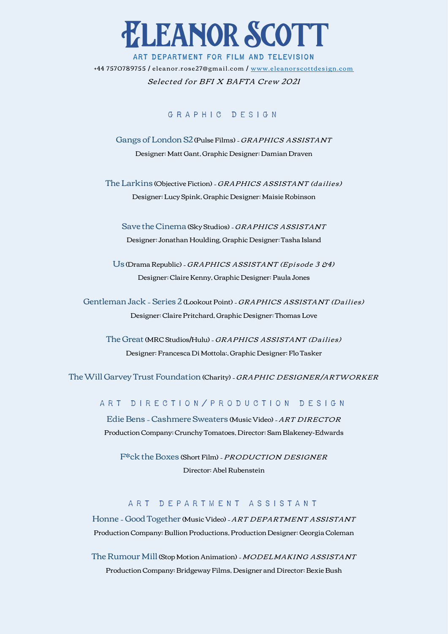

## ART DEPARTMENT FOR FILM AND TELEVISION

+44 7570789755 / eleanor.rose27@gmail.com / www.eleanorscottdesign.com

## Selected for BFI X BAFTA Crew 2021

#### G R A P H I C D F S I G N

Gangs of London S2 (Pulse Films) - GRAPHICS ASSISTANT Designer: Matt Gant, Graphic Designer: Damian Draven

The Larkins (Objective Fiction) - GRAPHICS ASSISTANT (dailies) Designer: Lucy Spink, Graphic Designer: Maisie Robinson

Save the Cinema (Sky Studios) - GRAPHICS ASSISTANT Designer: Jonathan Houlding, Graphic Designer: Tasha Island

Us (Drama Republic) - GRAPHICS ASSISTANT (Episode 3 &4) Designer: Claire Kenny, Graphic Designer: Paula Jones

Gentleman Jack - Series 2 (Lookout Point) - GRAPHICS ASSISTANT (Dailies) Designer: Claire Pritchard, Graphic Designer: Thomas Love

The Great (MRC Studios/Hulu) - GRAPHICS ASSISTANT (Dailies) Designer: Francesca Di Mottola:, Graphic Designer: Flo Tasker

The Will Garvey Trust Foundation (Charity) - GRAPHIC DESIGNER/ARTWORKER

#### A R T D I R E C T I O N / P R O D U C T I O N D E S I G N

Edie Bens - Cashmere Sweaters (Music Video) - ART DIRECTOR Production Company: Crunchy Tomatoes, Director: Sam Blakeney-Edwards

F\*ck the Boxes (Short Film) - PRODUCTION DESIGNER Director: Abel Rubenstein

## A R T D E P A R T M E N T A S S I S T A N T

Honne - Good Together (Music Video) - ART DEPARTMENT ASSISTANT Production Company: Bullion Productions, Production Designer: Georgia Coleman

The Rumour Mill (Stop Motion Animation) - MODELMAKING ASSISTANT Production Company: Bridgeway Films, Designer and Director: Bexie Bush